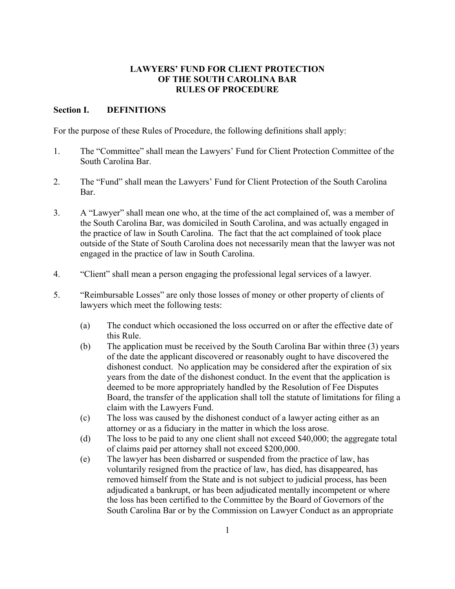## **LAWYERS' FUND FOR CLIENT PROTECTION OF THE SOUTH CAROLINA BAR RULES OF PROCEDURE**

## **Section I. DEFINITIONS**

For the purpose of these Rules of Procedure, the following definitions shall apply:

- 1. The "Committee" shall mean the Lawyers' Fund for Client Protection Committee of the South Carolina Bar.
- 2. The "Fund" shall mean the Lawyers' Fund for Client Protection of the South Carolina Bar.
- 3. A "Lawyer" shall mean one who, at the time of the act complained of, was a member of the South Carolina Bar, was domiciled in South Carolina, and was actually engaged in the practice of law in South Carolina. The fact that the act complained of took place outside of the State of South Carolina does not necessarily mean that the lawyer was not engaged in the practice of law in South Carolina.
- 4. "Client" shall mean a person engaging the professional legal services of a lawyer.
- 5. "Reimbursable Losses" are only those losses of money or other property of clients of lawyers which meet the following tests:
	- (a) The conduct which occasioned the loss occurred on or after the effective date of this Rule.
	- (b) The application must be received by the South Carolina Bar within three (3) years of the date the applicant discovered or reasonably ought to have discovered the dishonest conduct. No application may be considered after the expiration of six years from the date of the dishonest conduct. In the event that the application is deemed to be more appropriately handled by the Resolution of Fee Disputes Board, the transfer of the application shall toll the statute of limitations for filing a claim with the Lawyers Fund.
	- (c) The loss was caused by the dishonest conduct of a lawyer acting either as an attorney or as a fiduciary in the matter in which the loss arose.
	- (d) The loss to be paid to any one client shall not exceed \$40,000; the aggregate total of claims paid per attorney shall not exceed \$200,000.
	- (e) The lawyer has been disbarred or suspended from the practice of law, has voluntarily resigned from the practice of law, has died, has disappeared, has removed himself from the State and is not subject to judicial process, has been adjudicated a bankrupt, or has been adjudicated mentally incompetent or where the loss has been certified to the Committee by the Board of Governors of the South Carolina Bar or by the Commission on Lawyer Conduct as an appropriate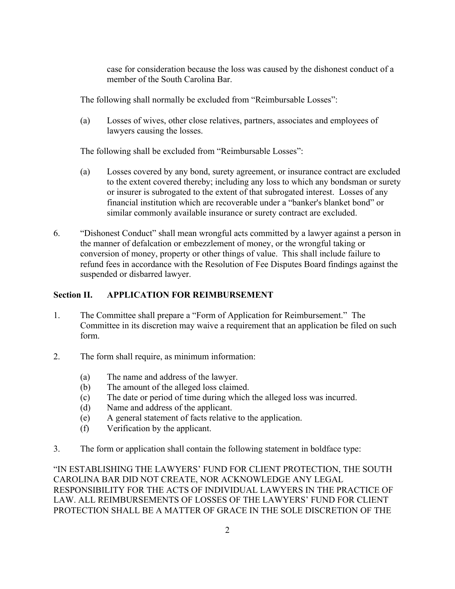case for consideration because the loss was caused by the dishonest conduct of a member of the South Carolina Bar.

The following shall normally be excluded from "Reimbursable Losses":

(a) Losses of wives, other close relatives, partners, associates and employees of lawyers causing the losses.

The following shall be excluded from "Reimbursable Losses":

- (a) Losses covered by any bond, surety agreement, or insurance contract are excluded to the extent covered thereby; including any loss to which any bondsman or surety or insurer is subrogated to the extent of that subrogated interest. Losses of any financial institution which are recoverable under a "banker's blanket bond" or similar commonly available insurance or surety contract are excluded.
- 6. "Dishonest Conduct" shall mean wrongful acts committed by a lawyer against a person in the manner of defalcation or embezzlement of money, or the wrongful taking or conversion of money, property or other things of value. This shall include failure to refund fees in accordance with the Resolution of Fee Disputes Board findings against the suspended or disbarred lawyer.

# **Section II. APPLICATION FOR REIMBURSEMENT**

- 1. The Committee shall prepare a "Form of Application for Reimbursement." The Committee in its discretion may waive a requirement that an application be filed on such form.
- 2. The form shall require, as minimum information:
	- (a) The name and address of the lawyer.
	- (b) The amount of the alleged loss claimed.
	- (c) The date or period of time during which the alleged loss was incurred.
	- (d) Name and address of the applicant.
	- (e) A general statement of facts relative to the application.
	- (f) Verification by the applicant.
- 3. The form or application shall contain the following statement in boldface type:

"IN ESTABLISHING THE LAWYERS' FUND FOR CLIENT PROTECTION, THE SOUTH CAROLINA BAR DID NOT CREATE, NOR ACKNOWLEDGE ANY LEGAL RESPONSIBILITY FOR THE ACTS OF INDIVIDUAL LAWYERS IN THE PRACTICE OF LAW. ALL REIMBURSEMENTS OF LOSSES OF THE LAWYERS' FUND FOR CLIENT PROTECTION SHALL BE A MATTER OF GRACE IN THE SOLE DISCRETION OF THE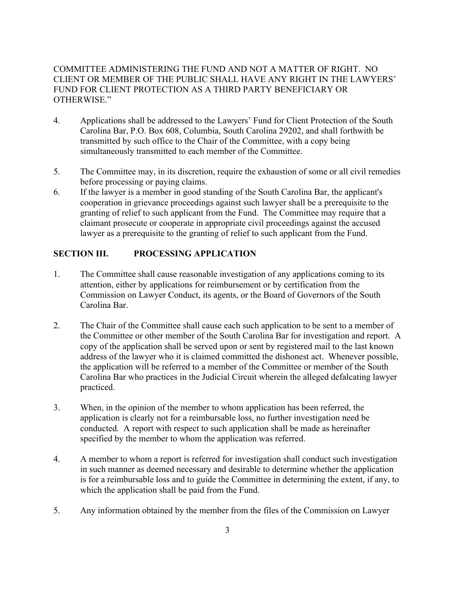# COMMITTEE ADMINISTERING THE FUND AND NOT A MATTER OF RIGHT. NO CLIENT OR MEMBER OF THE PUBLIC SHALL HAVE ANY RIGHT IN THE LAWYERS' FUND FOR CLIENT PROTECTION AS A THIRD PARTY BENEFICIARY OR OTHERWISE."

- 4. Applications shall be addressed to the Lawyers' Fund for Client Protection of the South Carolina Bar, P.O. Box 608, Columbia, South Carolina 29202, and shall forthwith be transmitted by such office to the Chair of the Committee, with a copy being simultaneously transmitted to each member of the Committee.
- 5. The Committee may, in its discretion, require the exhaustion of some or all civil remedies before processing or paying claims.
- 6. If the lawyer is a member in good standing of the South Carolina Bar, the applicant's cooperation in grievance proceedings against such lawyer shall be a prerequisite to the granting of relief to such applicant from the Fund. The Committee may require that a claimant prosecute or cooperate in appropriate civil proceedings against the accused lawyer as a prerequisite to the granting of relief to such applicant from the Fund.

# **SECTION III. PROCESSING APPLICATION**

- 1. The Committee shall cause reasonable investigation of any applications coming to its attention, either by applications for reimbursement or by certification from the Commission on Lawyer Conduct, its agents, or the Board of Governors of the South Carolina Bar.
- 2. The Chair of the Committee shall cause each such application to be sent to a member of the Committee or other member of the South Carolina Bar for investigation and report. A copy of the application shall be served upon or sent by registered mail to the last known address of the lawyer who it is claimed committed the dishonest act. Whenever possible, the application will be referred to a member of the Committee or member of the South Carolina Bar who practices in the Judicial Circuit wherein the alleged defalcating lawyer practiced.
- 3. When, in the opinion of the member to whom application has been referred, the application is clearly not for a reimbursable loss, no further investigation need be conducted. A report with respect to such application shall be made as hereinafter specified by the member to whom the application was referred.
- 4. A member to whom a report is referred for investigation shall conduct such investigation in such manner as deemed necessary and desirable to determine whether the application is for a reimbursable loss and to guide the Committee in determining the extent, if any, to which the application shall be paid from the Fund.
- 5. Any information obtained by the member from the files of the Commission on Lawyer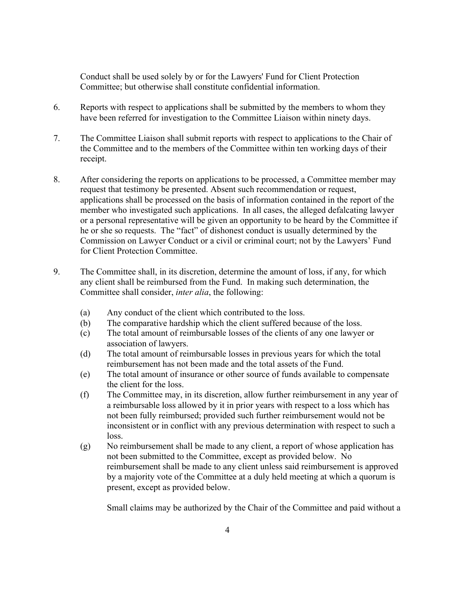Conduct shall be used solely by or for the Lawyers' Fund for Client Protection Committee; but otherwise shall constitute confidential information.

- 6. Reports with respect to applications shall be submitted by the members to whom they have been referred for investigation to the Committee Liaison within ninety days.
- 7. The Committee Liaison shall submit reports with respect to applications to the Chair of the Committee and to the members of the Committee within ten working days of their receipt.
- 8. After considering the reports on applications to be processed, a Committee member may request that testimony be presented. Absent such recommendation or request, applications shall be processed on the basis of information contained in the report of the member who investigated such applications. In all cases, the alleged defalcating lawyer or a personal representative will be given an opportunity to be heard by the Committee if he or she so requests. The "fact" of dishonest conduct is usually determined by the Commission on Lawyer Conduct or a civil or criminal court; not by the Lawyers' Fund for Client Protection Committee.
- 9. The Committee shall, in its discretion, determine the amount of loss, if any, for which any client shall be reimbursed from the Fund. In making such determination, the Committee shall consider, *inter alia*, the following:
	- (a) Any conduct of the client which contributed to the loss.
	- (b) The comparative hardship which the client suffered because of the loss.
	- (c) The total amount of reimbursable losses of the clients of any one lawyer or association of lawyers.
	- (d) The total amount of reimbursable losses in previous years for which the total reimbursement has not been made and the total assets of the Fund.
	- (e) The total amount of insurance or other source of funds available to compensate the client for the loss.
	- (f) The Committee may, in its discretion, allow further reimbursement in any year of a reimbursable loss allowed by it in prior years with respect to a loss which has not been fully reimbursed; provided such further reimbursement would not be inconsistent or in conflict with any previous determination with respect to such a loss.
	- (g) No reimbursement shall be made to any client, a report of whose application has not been submitted to the Committee, except as provided below. No reimbursement shall be made to any client unless said reimbursement is approved by a majority vote of the Committee at a duly held meeting at which a quorum is present, except as provided below.

Small claims may be authorized by the Chair of the Committee and paid without a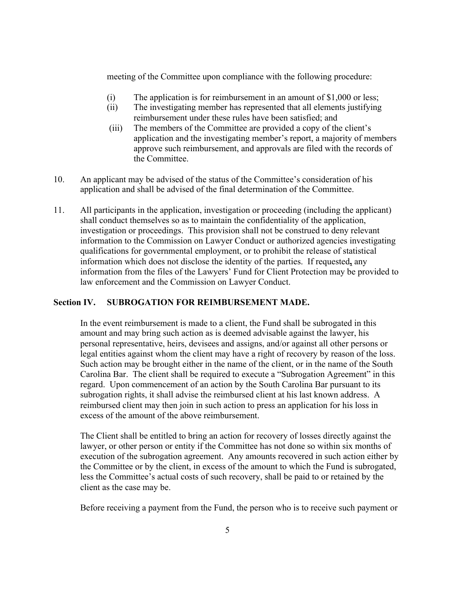meeting of the Committee upon compliance with the following procedure:

- (i) The application is for reimbursement in an amount of \$1,000 or less;
- (ii) The investigating member has represented that all elements justifying reimbursement under these rules have been satisfied; and
- (iii) The members of the Committee are provided a copy of the client's application and the investigating member's report, a majority of members approve such reimbursement, and approvals are filed with the records of the Committee.
- 10. An applicant may be advised of the status of the Committee's consideration of his application and shall be advised of the final determination of the Committee.
- 11. All participants in the application, investigation or proceeding (including the applicant) shall conduct themselves so as to maintain the confidentiality of the application, investigation or proceedings. This provision shall not be construed to deny relevant information to the Commission on Lawyer Conduct or authorized agencies investigating qualifications for governmental employment, or to prohibit the release of statistical information which does not disclose the identity of the parties. If requested**,** any information from the files of the Lawyers' Fund for Client Protection may be provided to law enforcement and the Commission on Lawyer Conduct.

## **Section IV. SUBROGATION FOR REIMBURSEMENT MADE.**

In the event reimbursement is made to a client, the Fund shall be subrogated in this amount and may bring such action as is deemed advisable against the lawyer, his personal representative, heirs, devisees and assigns, and/or against all other persons or legal entities against whom the client may have a right of recovery by reason of the loss. Such action may be brought either in the name of the client, or in the name of the South Carolina Bar. The client shall be required to execute a "Subrogation Agreement" in this regard. Upon commencement of an action by the South Carolina Bar pursuant to its subrogation rights, it shall advise the reimbursed client at his last known address. A reimbursed client may then join in such action to press an application for his loss in excess of the amount of the above reimbursement.

The Client shall be entitled to bring an action for recovery of losses directly against the lawyer, or other person or entity if the Committee has not done so within six months of execution of the subrogation agreement. Any amounts recovered in such action either by the Committee or by the client, in excess of the amount to which the Fund is subrogated, less the Committee's actual costs of such recovery, shall be paid to or retained by the client as the case may be.

Before receiving a payment from the Fund, the person who is to receive such payment or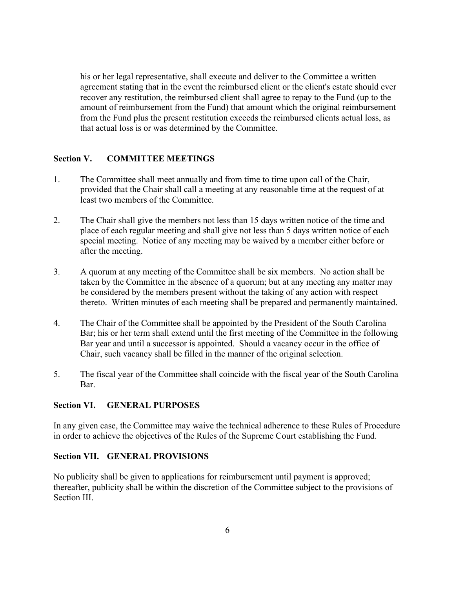his or her legal representative, shall execute and deliver to the Committee a written agreement stating that in the event the reimbursed client or the client's estate should ever recover any restitution, the reimbursed client shall agree to repay to the Fund (up to the amount of reimbursement from the Fund) that amount which the original reimbursement from the Fund plus the present restitution exceeds the reimbursed clients actual loss, as that actual loss is or was determined by the Committee.

## **Section V. COMMITTEE MEETINGS**

- 1. The Committee shall meet annually and from time to time upon call of the Chair, provided that the Chair shall call a meeting at any reasonable time at the request of at least two members of the Committee.
- 2. The Chair shall give the members not less than 15 days written notice of the time and place of each regular meeting and shall give not less than 5 days written notice of each special meeting. Notice of any meeting may be waived by a member either before or after the meeting.
- 3. A quorum at any meeting of the Committee shall be six members. No action shall be taken by the Committee in the absence of a quorum; but at any meeting any matter may be considered by the members present without the taking of any action with respect thereto. Written minutes of each meeting shall be prepared and permanently maintained.
- 4. The Chair of the Committee shall be appointed by the President of the South Carolina Bar; his or her term shall extend until the first meeting of the Committee in the following Bar year and until a successor is appointed. Should a vacancy occur in the office of Chair, such vacancy shall be filled in the manner of the original selection.
- 5. The fiscal year of the Committee shall coincide with the fiscal year of the South Carolina Bar.

## **Section VI. GENERAL PURPOSES**

In any given case, the Committee may waive the technical adherence to these Rules of Procedure in order to achieve the objectives of the Rules of the Supreme Court establishing the Fund.

## **Section VII. GENERAL PROVISIONS**

No publicity shall be given to applications for reimbursement until payment is approved; thereafter, publicity shall be within the discretion of the Committee subject to the provisions of Section III